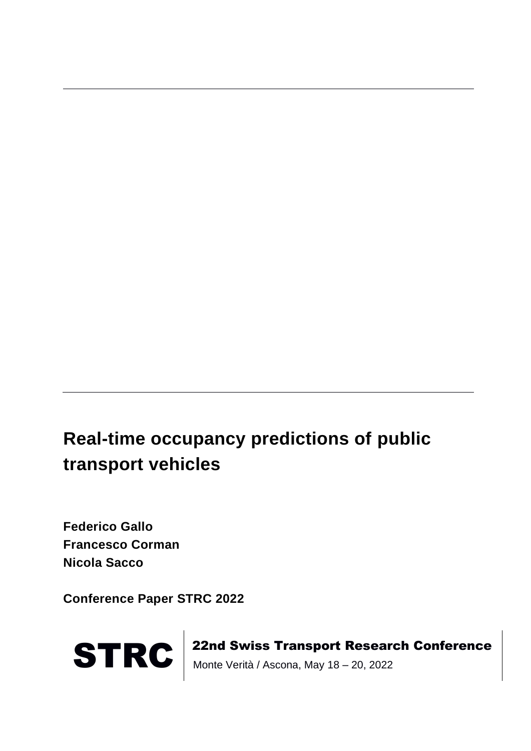# **Real-time occupancy predictions of public transport vehicles**

**Federico Gallo Francesco Corman Nicola Sacco**

**Conference Paper STRC 2022**



STRC | 22nd Swiss Transport Research Conference<br>Monte Verità / Ascona, May 18 – 20, 2022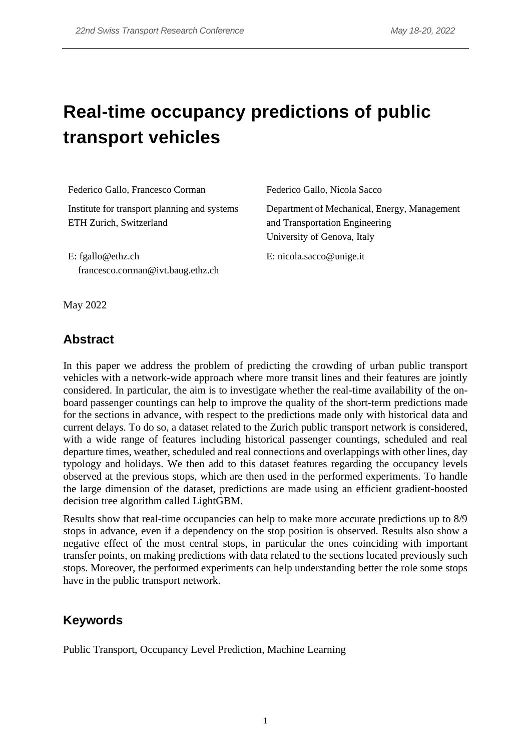# **Real-time occupancy predictions of public transport vehicles**

| Federico Gallo, Francesco Corman                                        | Federico Gallo, Nicola Sacco                                                                                  |
|-------------------------------------------------------------------------|---------------------------------------------------------------------------------------------------------------|
| Institute for transport planning and systems<br>ETH Zurich, Switzerland | Department of Mechanical, Energy, Management<br>and Transportation Engineering<br>University of Genova, Italy |
| E: fgallo@ethz.ch<br>francesco.corman@ivt.baug.ethz.ch                  | E: nicola.sacco@unige.it                                                                                      |

May 2022

#### **Abstract**

In this paper we address the problem of predicting the crowding of urban public transport vehicles with a network-wide approach where more transit lines and their features are jointly considered. In particular, the aim is to investigate whether the real-time availability of the onboard passenger countings can help to improve the quality of the short-term predictions made for the sections in advance, with respect to the predictions made only with historical data and current delays. To do so, a dataset related to the Zurich public transport network is considered, with a wide range of features including historical passenger countings, scheduled and real departure times, weather, scheduled and real connections and overlappings with other lines, day typology and holidays. We then add to this dataset features regarding the occupancy levels observed at the previous stops, which are then used in the performed experiments. To handle the large dimension of the dataset, predictions are made using an efficient gradient-boosted decision tree algorithm called LightGBM.

Results show that real-time occupancies can help to make more accurate predictions up to 8/9 stops in advance, even if a dependency on the stop position is observed. Results also show a negative effect of the most central stops, in particular the ones coinciding with important transfer points, on making predictions with data related to the sections located previously such stops. Moreover, the performed experiments can help understanding better the role some stops have in the public transport network.

### **Keywords**

Public Transport, Occupancy Level Prediction, Machine Learning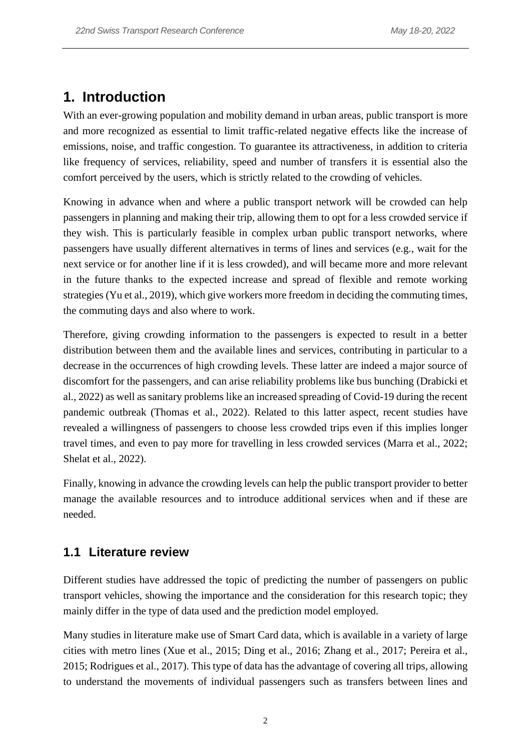# **1. Introduction**

With an ever-growing population and mobility demand in urban areas, public transport is more and more recognized as essential to limit traffic-related negative effects like the increase of emissions, noise, and traffic congestion. To guarantee its attractiveness, in addition to criteria like frequency of services, reliability, speed and number of transfers it is essential also the comfort perceived by the users, which is strictly related to the crowding of vehicles.

Knowing in advance when and where a public transport network will be crowded can help passengers in planning and making their trip, allowing them to opt for a less crowded service if they wish. This is particularly feasible in complex urban public transport networks, where passengers have usually different alternatives in terms of lines and services (e.g., wait for the next service or for another line if it is less crowded), and will became more and more relevant in the future thanks to the expected increase and spread of flexible and remote working strategies (Yu et al., 2019), which give workers more freedom in deciding the commuting times, the commuting days and also where to work.

Therefore, giving crowding information to the passengers is expected to result in a better distribution between them and the available lines and services, contributing in particular to a decrease in the occurrences of high crowding levels. These latter are indeed a major source of discomfort for the passengers, and can arise reliability problems like bus bunching (Drabicki et al., 2022) as well as sanitary problems like an increased spreading of Covid-19 during the recent pandemic outbreak (Thomas et al., 2022). Related to this latter aspect, recent studies have revealed a willingness of passengers to choose less crowded trips even if this implies longer travel times, and even to pay more for travelling in less crowded services (Marra et al., 2022; Shelat et al., 2022).

Finally, knowing in advance the crowding levels can help the public transport provider to better manage the available resources and to introduce additional services when and if these are needed.

#### **1.1 Literature review**

Different studies have addressed the topic of predicting the number of passengers on public transport vehicles, showing the importance and the consideration for this research topic; they mainly differ in the type of data used and the prediction model employed.

Many studies in literature make use of Smart Card data, which is available in a variety of large cities with metro lines (Xue et al., 2015; Ding et al., 2016; Zhang et al., 2017; Pereira et al., 2015; Rodrigues et al., 2017). This type of data has the advantage of covering all trips, allowing to understand the movements of individual passengers such as transfers between lines and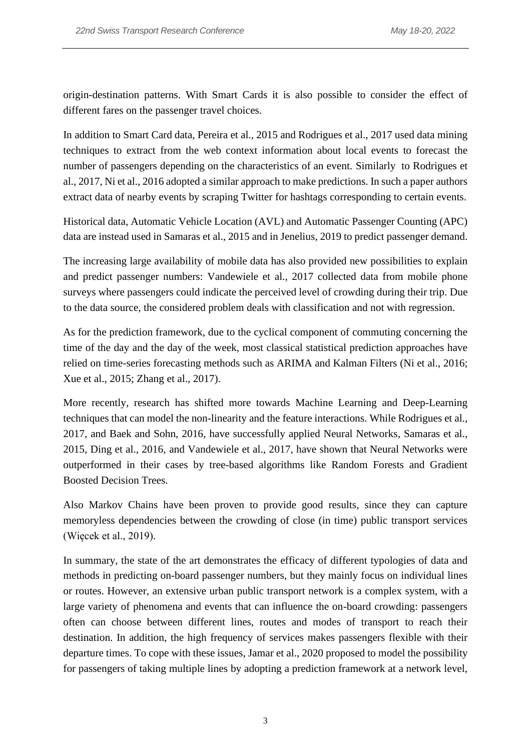origin-destination patterns. With Smart Cards it is also possible to consider the effect of different fares on the passenger travel choices.

In addition to Smart Card data, Pereira et al., 2015 and Rodrigues et al., 2017 used data mining techniques to extract from the web context information about local events to forecast the number of passengers depending on the characteristics of an event. Similarly to Rodrigues et al., 2017, Ni et al., 2016 adopted a similar approach to make predictions. In such a paper authors extract data of nearby events by scraping Twitter for hashtags corresponding to certain events.

Historical data, Automatic Vehicle Location (AVL) and Automatic Passenger Counting (APC) data are instead used in Samaras et al., 2015 and in Jenelius, 2019 to predict passenger demand.

The increasing large availability of mobile data has also provided new possibilities to explain and predict passenger numbers: Vandewiele et al., 2017 collected data from mobile phone surveys where passengers could indicate the perceived level of crowding during their trip. Due to the data source, the considered problem deals with classification and not with regression.

As for the prediction framework, due to the cyclical component of commuting concerning the time of the day and the day of the week, most classical statistical prediction approaches have relied on time-series forecasting methods such as ARIMA and Kalman Filters (Ni et al., 2016; Xue et al., 2015; Zhang et al., 2017).

More recently, research has shifted more towards Machine Learning and Deep-Learning techniques that can model the non-linearity and the feature interactions. While Rodrigues et al., 2017, and Baek and Sohn, 2016, have successfully applied Neural Networks, Samaras et al., 2015, Ding et al., 2016, and Vandewiele et al., 2017, have shown that Neural Networks were outperformed in their cases by tree-based algorithms like Random Forests and Gradient Boosted Decision Trees.

Also Markov Chains have been proven to provide good results, since they can capture memoryless dependencies between the crowding of close (in time) public transport services (Więcek et al., 2019).

In summary, the state of the art demonstrates the efficacy of different typologies of data and methods in predicting on-board passenger numbers, but they mainly focus on individual lines or routes. However, an extensive urban public transport network is a complex system, with a large variety of phenomena and events that can influence the on-board crowding: passengers often can choose between different lines, routes and modes of transport to reach their destination. In addition, the high frequency of services makes passengers flexible with their departure times. To cope with these issues, Jamar et al., 2020 proposed to model the possibility for passengers of taking multiple lines by adopting a prediction framework at a network level,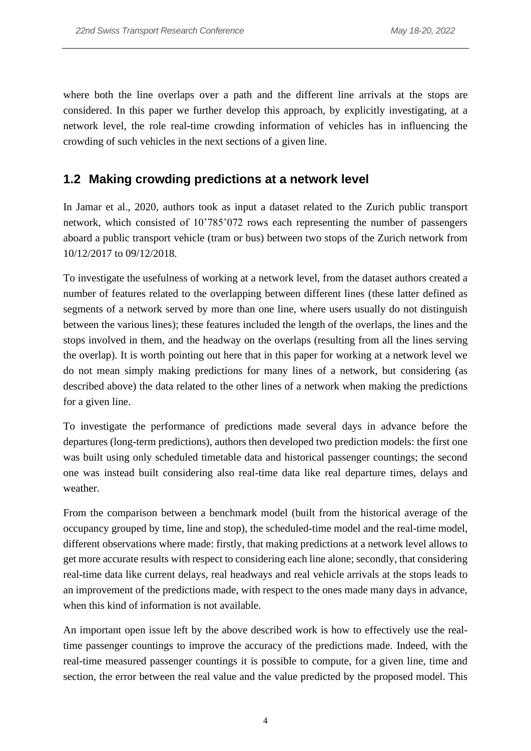where both the line overlaps over a path and the different line arrivals at the stops are considered. In this paper we further develop this approach, by explicitly investigating, at a network level, the role real-time crowding information of vehicles has in influencing the crowding of such vehicles in the next sections of a given line.

## **1.2 Making crowding predictions at a network level**

In Jamar et al., 2020, authors took as input a dataset related to the Zurich public transport network, which consisted of 10'785'072 rows each representing the number of passengers aboard a public transport vehicle (tram or bus) between two stops of the Zurich network from 10/12/2017 to 09/12/2018.

To investigate the usefulness of working at a network level, from the dataset authors created a number of features related to the overlapping between different lines (these latter defined as segments of a network served by more than one line, where users usually do not distinguish between the various lines); these features included the length of the overlaps, the lines and the stops involved in them, and the headway on the overlaps (resulting from all the lines serving the overlap). It is worth pointing out here that in this paper for working at a network level we do not mean simply making predictions for many lines of a network, but considering (as described above) the data related to the other lines of a network when making the predictions for a given line.

To investigate the performance of predictions made several days in advance before the departures (long-term predictions), authors then developed two prediction models: the first one was built using only scheduled timetable data and historical passenger countings; the second one was instead built considering also real-time data like real departure times, delays and weather.

From the comparison between a benchmark model (built from the historical average of the occupancy grouped by time, line and stop), the scheduled-time model and the real-time model, different observations where made: firstly, that making predictions at a network level allows to get more accurate results with respect to considering each line alone; secondly, that considering real-time data like current delays, real headways and real vehicle arrivals at the stops leads to an improvement of the predictions made, with respect to the ones made many days in advance, when this kind of information is not available.

An important open issue left by the above described work is how to effectively use the realtime passenger countings to improve the accuracy of the predictions made. Indeed, with the real-time measured passenger countings it is possible to compute, for a given line, time and section, the error between the real value and the value predicted by the proposed model. This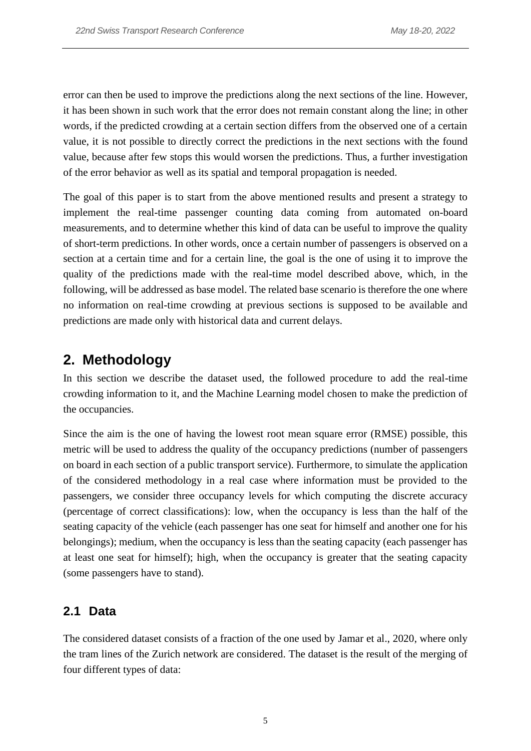error can then be used to improve the predictions along the next sections of the line. However, it has been shown in such work that the error does not remain constant along the line; in other words, if the predicted crowding at a certain section differs from the observed one of a certain value, it is not possible to directly correct the predictions in the next sections with the found value, because after few stops this would worsen the predictions. Thus, a further investigation of the error behavior as well as its spatial and temporal propagation is needed.

The goal of this paper is to start from the above mentioned results and present a strategy to implement the real-time passenger counting data coming from automated on-board measurements, and to determine whether this kind of data can be useful to improve the quality of short-term predictions. In other words, once a certain number of passengers is observed on a section at a certain time and for a certain line, the goal is the one of using it to improve the quality of the predictions made with the real-time model described above, which, in the following, will be addressed as base model. The related base scenario is therefore the one where no information on real-time crowding at previous sections is supposed to be available and predictions are made only with historical data and current delays.

# **2. Methodology**

In this section we describe the dataset used, the followed procedure to add the real-time crowding information to it, and the Machine Learning model chosen to make the prediction of the occupancies.

Since the aim is the one of having the lowest root mean square error (RMSE) possible, this metric will be used to address the quality of the occupancy predictions (number of passengers on board in each section of a public transport service). Furthermore, to simulate the application of the considered methodology in a real case where information must be provided to the passengers, we consider three occupancy levels for which computing the discrete accuracy (percentage of correct classifications): low, when the occupancy is less than the half of the seating capacity of the vehicle (each passenger has one seat for himself and another one for his belongings); medium, when the occupancy is less than the seating capacity (each passenger has at least one seat for himself); high, when the occupancy is greater that the seating capacity (some passengers have to stand).

#### **2.1 Data**

The considered dataset consists of a fraction of the one used by Jamar et al., 2020, where only the tram lines of the Zurich network are considered. The dataset is the result of the merging of four different types of data: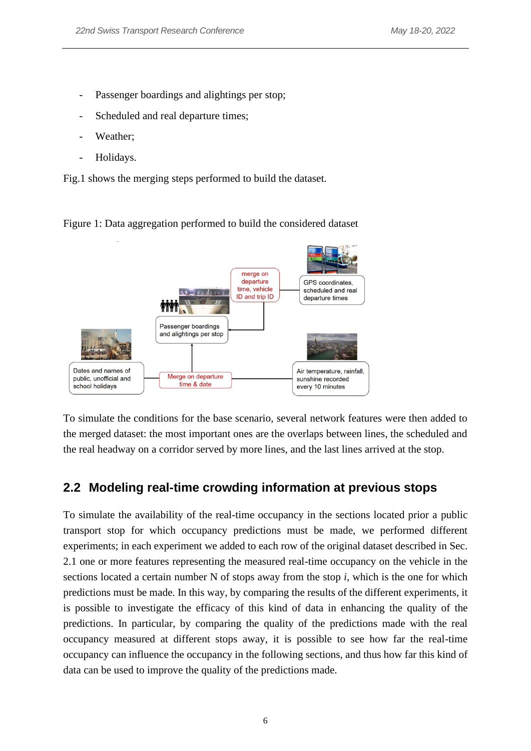- Passenger boardings and alightings per stop;
- Scheduled and real departure times;
- Weather;
- Holidays.

Fig.1 shows the merging steps performed to build the dataset.

Figure 1: Data aggregation performed to build the considered dataset



To simulate the conditions for the base scenario, several network features were then added to the merged dataset: the most important ones are the overlaps between lines, the scheduled and the real headway on a corridor served by more lines, and the last lines arrived at the stop.

#### **2.2 Modeling real-time crowding information at previous stops**

To simulate the availability of the real-time occupancy in the sections located prior a public transport stop for which occupancy predictions must be made, we performed different experiments; in each experiment we added to each row of the original dataset described in Sec. 2.1 one or more features representing the measured real-time occupancy on the vehicle in the sections located a certain number N of stops away from the stop *i*, which is the one for which predictions must be made. In this way, by comparing the results of the different experiments, it is possible to investigate the efficacy of this kind of data in enhancing the quality of the predictions. In particular, by comparing the quality of the predictions made with the real occupancy measured at different stops away, it is possible to see how far the real-time occupancy can influence the occupancy in the following sections, and thus how far this kind of data can be used to improve the quality of the predictions made.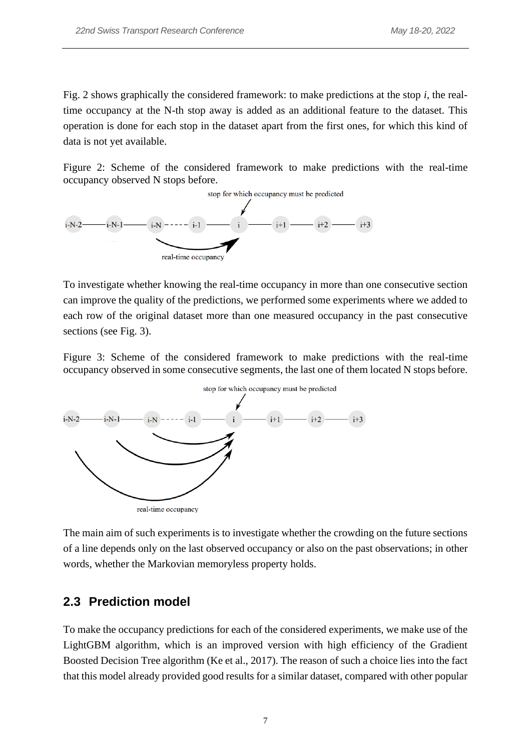Fig. 2 shows graphically the considered framework: to make predictions at the stop *i*, the realtime occupancy at the N-th stop away is added as an additional feature to the dataset. This operation is done for each stop in the dataset apart from the first ones, for which this kind of data is not yet available.

Figure 2: Scheme of the considered framework to make predictions with the real-time occupancy observed N stops before.



To investigate whether knowing the real-time occupancy in more than one consecutive section can improve the quality of the predictions, we performed some experiments where we added to each row of the original dataset more than one measured occupancy in the past consecutive sections (see Fig. 3).

Figure 3: Scheme of the considered framework to make predictions with the real-time occupancy observed in some consecutive segments, the last one of them located N stops before.



The main aim of such experiments is to investigate whether the crowding on the future sections of a line depends only on the last observed occupancy or also on the past observations; in other words, whether the Markovian memoryless property holds.

#### **2.3 Prediction model**

To make the occupancy predictions for each of the considered experiments, we make use of the LightGBM algorithm, which is an improved version with high efficiency of the Gradient Boosted Decision Tree algorithm (Ke et al., 2017). The reason of such a choice lies into the fact that this model already provided good results for a similar dataset, compared with other popular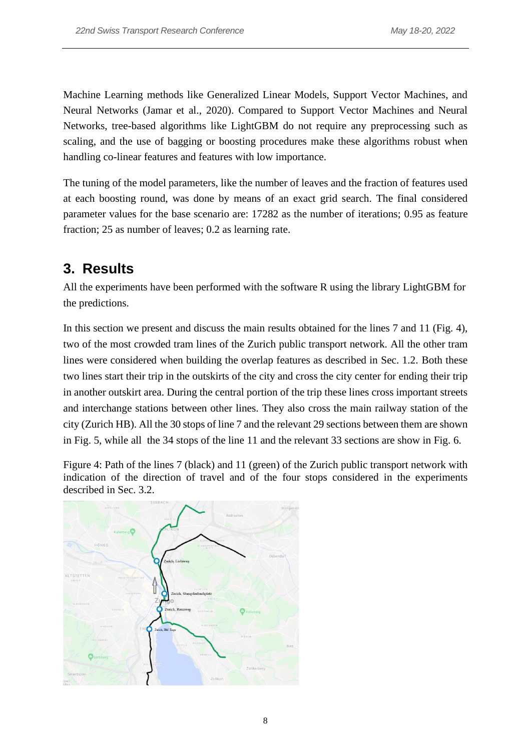Machine Learning methods like Generalized Linear Models, Support Vector Machines, and Neural Networks (Jamar et al., 2020). Compared to Support Vector Machines and Neural Networks, tree-based algorithms like LightGBM do not require any preprocessing such as scaling, and the use of bagging or boosting procedures make these algorithms robust when handling co-linear features and features with low importance.

The tuning of the model parameters, like the number of leaves and the fraction of features used at each boosting round, was done by means of an exact grid search. The final considered parameter values for the base scenario are: 17282 as the number of iterations; 0.95 as feature fraction; 25 as number of leaves; 0.2 as learning rate.

# **3. Results**

All the experiments have been performed with the software R using the library LightGBM for the predictions.

In this section we present and discuss the main results obtained for the lines 7 and 11 (Fig. 4), two of the most crowded tram lines of the Zurich public transport network. All the other tram lines were considered when building the overlap features as described in Sec. 1.2. Both these two lines start their trip in the outskirts of the city and cross the city center for ending their trip in another outskirt area. During the central portion of the trip these lines cross important streets and interchange stations between other lines. They also cross the main railway station of the city (Zurich HB). All the 30 stops of line 7 and the relevant 29 sections between them are shown in Fig. 5, while all the 34 stops of the line 11 and the relevant 33 sections are show in Fig. 6.

Figure 4: Path of the lines 7 (black) and 11 (green) of the Zurich public transport network with indication of the direction of travel and of the four stops considered in the experiments described in Sec. 3.2.

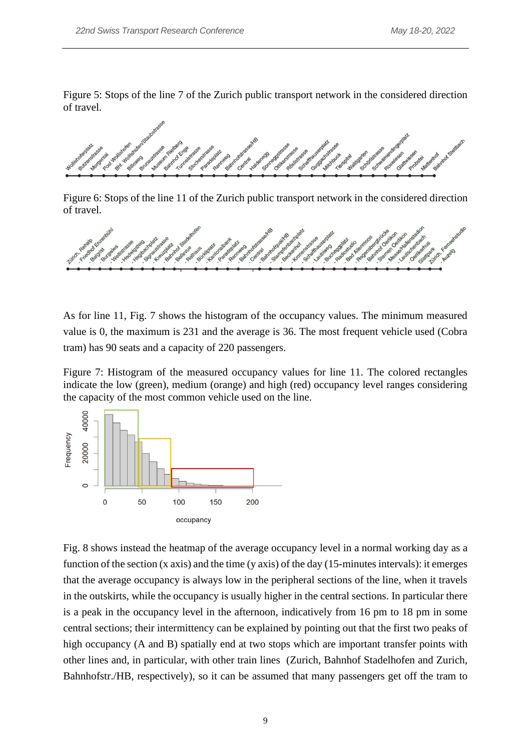Figure 5: Stops of the line 7 of the Zurich public transport network in the considered direction of travel.

Figure 6: Stops of the line 11 of the Zurich public transport network in the considered direction of travel.



As for line 11, Fig. 7 shows the histogram of the occupancy values. The minimum measured value is 0, the maximum is 231 and the average is 36. The most frequent vehicle used (Cobra tram) has 90 seats and a capacity of 220 passengers.

Figure 7: Histogram of the measured occupancy values for line 11. The colored rectangles indicate the low (green), medium (orange) and high (red) occupancy level ranges considering the capacity of the most common vehicle used on the line.



Fig. 8 shows instead the heatmap of the average occupancy level in a normal working day as a function of the section (x axis) and the time (y axis) of the day (15-minutes intervals): it emerges that the average occupancy is always low in the peripheral sections of the line, when it travels in the outskirts, while the occupancy is usually higher in the central sections. In particular there is a peak in the occupancy level in the afternoon, indicatively from 16 pm to 18 pm in some central sections; their intermittency can be explained by pointing out that the first two peaks of high occupancy (A and B) spatially end at two stops which are important transfer points with other lines and, in particular, with other train lines (Zurich, Bahnhof Stadelhofen and Zurich, Bahnhofstr./HB, respectively), so it can be assumed that many passengers get off the tram to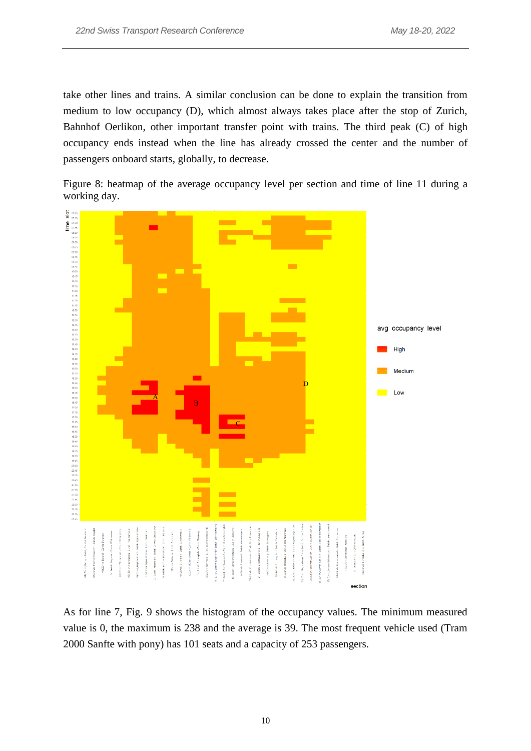take other lines and trains. A similar conclusion can be done to explain the transition from medium to low occupancy (D), which almost always takes place after the stop of Zurich, Bahnhof Oerlikon, other important transfer point with trains. The third peak (C) of high occupancy ends instead when the line has already crossed the center and the number of passengers onboard starts, globally, to decrease.

Figure 8: heatmap of the average occupancy level per section and time of line 11 during a working day.



As for line 7, Fig. 9 shows the histogram of the occupancy values. The minimum measured value is 0, the maximum is 238 and the average is 39. The most frequent vehicle used (Tram 2000 Sanfte with pony) has 101 seats and a capacity of 253 passengers.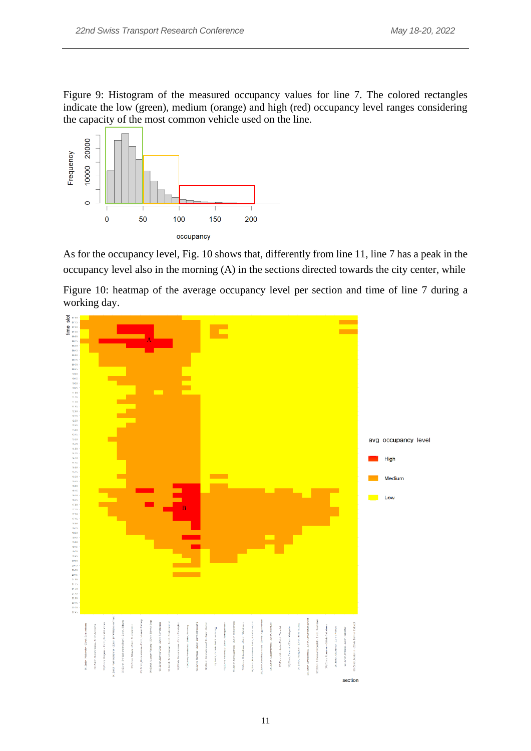Figure 9: Histogram of the measured occupancy values for line 7. The colored rectangles indicate the low (green), medium (orange) and high (red) occupancy level ranges considering the capacity of the most common vehicle used on the line.



As for the occupancy level, Fig. 10 shows that, differently from line 11, line 7 has a peak in the occupancy level also in the morning (A) in the sections directed towards the city center, while

Figure 10: heatmap of the average occupancy level per section and time of line 7 during a working day.

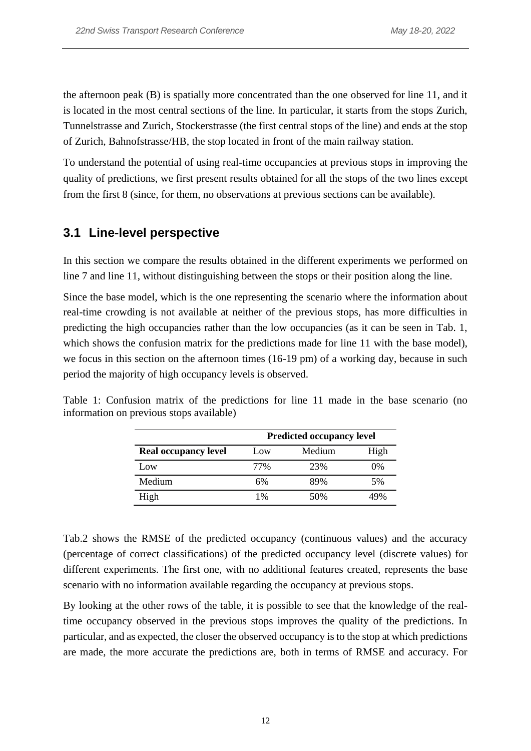the afternoon peak (B) is spatially more concentrated than the one observed for line 11, and it is located in the most central sections of the line. In particular, it starts from the stops Zurich, Tunnelstrasse and Zurich, Stockerstrasse (the first central stops of the line) and ends at the stop of Zurich, Bahnofstrasse/HB, the stop located in front of the main railway station.

To understand the potential of using real-time occupancies at previous stops in improving the quality of predictions, we first present results obtained for all the stops of the two lines except from the first 8 (since, for them, no observations at previous sections can be available).

#### **3.1 Line-level perspective**

In this section we compare the results obtained in the different experiments we performed on line 7 and line 11, without distinguishing between the stops or their position along the line.

Since the base model, which is the one representing the scenario where the information about real-time crowding is not available at neither of the previous stops, has more difficulties in predicting the high occupancies rather than the low occupancies (as it can be seen in Tab. 1, which shows the confusion matrix for the predictions made for line 11 with the base model), we focus in this section on the afternoon times (16-19 pm) of a working day, because in such period the majority of high occupancy levels is observed.

|                             | <b>Predicted occupancy level</b> |     |     |  |  |  |
|-----------------------------|----------------------------------|-----|-----|--|--|--|
| <b>Real occupancy level</b> | Medium<br>High<br>Low            |     |     |  |  |  |
| Low                         | 77%                              | 23% | 0%  |  |  |  |
| Medium                      | 6%                               | 89% | 5%  |  |  |  |
| High                        | 1%                               | 50% | 49% |  |  |  |

Table 1: Confusion matrix of the predictions for line 11 made in the base scenario (no information on previous stops available)

Tab.2 shows the RMSE of the predicted occupancy (continuous values) and the accuracy (percentage of correct classifications) of the predicted occupancy level (discrete values) for different experiments. The first one, with no additional features created, represents the base scenario with no information available regarding the occupancy at previous stops.

By looking at the other rows of the table, it is possible to see that the knowledge of the realtime occupancy observed in the previous stops improves the quality of the predictions. In particular, and as expected, the closer the observed occupancy is to the stop at which predictions are made, the more accurate the predictions are, both in terms of RMSE and accuracy. For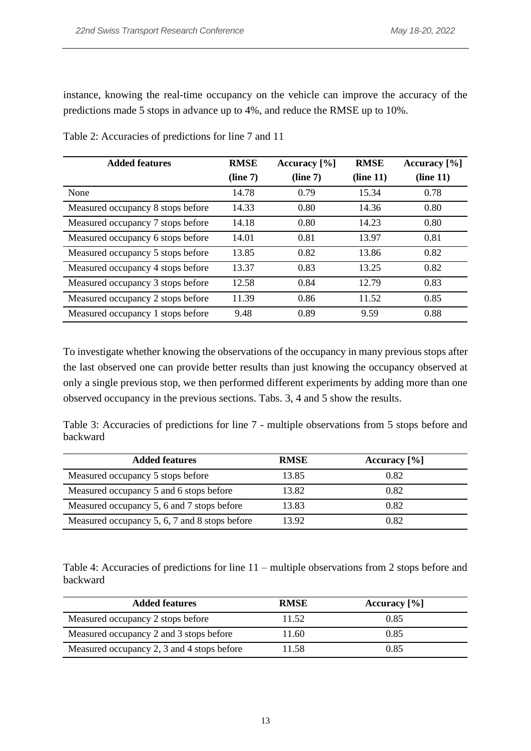instance, knowing the real-time occupancy on the vehicle can improve the accuracy of the predictions made 5 stops in advance up to 4%, and reduce the RMSE up to 10%.

| <b>Added features</b>             | <b>RMSE</b> | Accuracy $[\%]$ | <b>RMSE</b> | Accuracy $[\%]$ |
|-----------------------------------|-------------|-----------------|-------------|-----------------|
|                                   | (line 7)    | (line 7)        | (line 11)   | (line 11)       |
| None                              | 14.78       | 0.79            | 15.34       | 0.78            |
| Measured occupancy 8 stops before | 14.33       | 0.80            | 14.36       | 0.80            |
| Measured occupancy 7 stops before | 14.18       | 0.80            | 14.23       | 0.80            |
| Measured occupancy 6 stops before | 14.01       | 0.81            | 13.97       | 0.81            |
| Measured occupancy 5 stops before | 13.85       | 0.82            | 13.86       | 0.82            |
| Measured occupancy 4 stops before | 13.37       | 0.83            | 13.25       | 0.82            |
| Measured occupancy 3 stops before | 12.58       | 0.84            | 12.79       | 0.83            |
| Measured occupancy 2 stops before | 11.39       | 0.86            | 11.52       | 0.85            |
| Measured occupancy 1 stops before | 9.48        | 0.89            | 9.59        | 0.88            |

Table 2: Accuracies of predictions for line 7 and 11

To investigate whether knowing the observations of the occupancy in many previous stops after the last observed one can provide better results than just knowing the occupancy observed at only a single previous stop, we then performed different experiments by adding more than one observed occupancy in the previous sections. Tabs. 3, 4 and 5 show the results.

Table 3: Accuracies of predictions for line 7 - multiple observations from 5 stops before and backward

| <b>Added features</b>                         | <b>RMSE</b> | Accuracy $[\%]$ |
|-----------------------------------------------|-------------|-----------------|
| Measured occupancy 5 stops before             | 13.85       | 0.82            |
| Measured occupancy 5 and 6 stops before       | 13.82       | 0.82            |
| Measured occupancy 5, 6 and 7 stops before    | 13.83       | 0.82            |
| Measured occupancy 5, 6, 7 and 8 stops before | 13.92       | 0.82            |

Table 4: Accuracies of predictions for line 11 – multiple observations from 2 stops before and backward

| <b>Added features</b>                      | <b>RMSE</b> | Accuracy $[\%]$ |
|--------------------------------------------|-------------|-----------------|
| Measured occupancy 2 stops before          | 11.52       | 0.85            |
| Measured occupancy 2 and 3 stops before    | 11.60       | 0.85            |
| Measured occupancy 2, 3 and 4 stops before | 11.58       | 0.85            |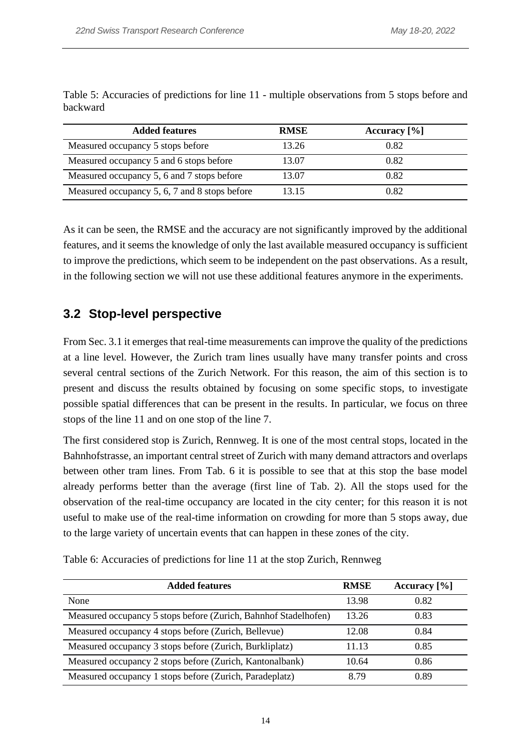| <b>Added features</b>                         | <b>RMSE</b> | Accuracy $[\%]$ |
|-----------------------------------------------|-------------|-----------------|
| Measured occupancy 5 stops before             | 13.26       | 0.82            |
| Measured occupancy 5 and 6 stops before       | 13.07       | 0.82            |
| Measured occupancy 5, 6 and 7 stops before    | 13.07       | 0.82            |
| Measured occupancy 5, 6, 7 and 8 stops before | 13.15       | 0.82            |

Table 5: Accuracies of predictions for line 11 - multiple observations from 5 stops before and backward

As it can be seen, the RMSE and the accuracy are not significantly improved by the additional features, and it seems the knowledge of only the last available measured occupancy is sufficient to improve the predictions, which seem to be independent on the past observations. As a result, in the following section we will not use these additional features anymore in the experiments.

### **3.2 Stop-level perspective**

From Sec. 3.1 it emerges that real-time measurements can improve the quality of the predictions at a line level. However, the Zurich tram lines usually have many transfer points and cross several central sections of the Zurich Network. For this reason, the aim of this section is to present and discuss the results obtained by focusing on some specific stops, to investigate possible spatial differences that can be present in the results. In particular, we focus on three stops of the line 11 and on one stop of the line 7.

The first considered stop is Zurich, Rennweg. It is one of the most central stops, located in the Bahnhofstrasse, an important central street of Zurich with many demand attractors and overlaps between other tram lines. From Tab. 6 it is possible to see that at this stop the base model already performs better than the average (first line of Tab. 2). All the stops used for the observation of the real-time occupancy are located in the city center; for this reason it is not useful to make use of the real-time information on crowding for more than 5 stops away, due to the large variety of uncertain events that can happen in these zones of the city.

| <b>Added features</b>                                           | <b>RMSE</b> | Accuracy $[\%]$ |
|-----------------------------------------------------------------|-------------|-----------------|
| None                                                            | 13.98       | 0.82            |
| Measured occupancy 5 stops before (Zurich, Bahnhof Stadelhofen) | 13.26       | 0.83            |
| Measured occupancy 4 stops before (Zurich, Bellevue)            | 12.08       | 0.84            |
| Measured occupancy 3 stops before (Zurich, Burkliplatz)         | 11.13       | 0.85            |
| Measured occupancy 2 stops before (Zurich, Kantonalbank)        | 10.64       | 0.86            |
| Measured occupancy 1 stops before (Zurich, Paradeplatz)         | 8.79        | 0.89            |

Table 6: Accuracies of predictions for line 11 at the stop Zurich, Rennweg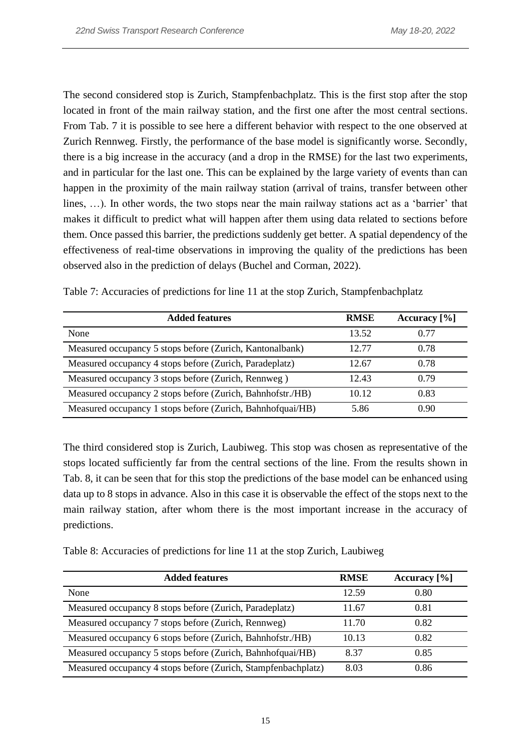The second considered stop is Zurich, Stampfenbachplatz. This is the first stop after the stop located in front of the main railway station, and the first one after the most central sections. From Tab. 7 it is possible to see here a different behavior with respect to the one observed at Zurich Rennweg. Firstly, the performance of the base model is significantly worse. Secondly, there is a big increase in the accuracy (and a drop in the RMSE) for the last two experiments, and in particular for the last one. This can be explained by the large variety of events than can happen in the proximity of the main railway station (arrival of trains, transfer between other lines, …). In other words, the two stops near the main railway stations act as a 'barrier' that makes it difficult to predict what will happen after them using data related to sections before them. Once passed this barrier, the predictions suddenly get better. A spatial dependency of the effectiveness of real-time observations in improving the quality of the predictions has been observed also in the prediction of delays (Buchel and Corman, 2022).

| <b>Added features</b>                                      | <b>RMSE</b> | Accuracy $[\%]$ |
|------------------------------------------------------------|-------------|-----------------|
| <b>None</b>                                                | 13.52       | 0.77            |
| Measured occupancy 5 stops before (Zurich, Kantonalbank)   | 12.77       | 0.78            |
| Measured occupancy 4 stops before (Zurich, Paradeplatz)    | 12.67       | 0.78            |
| Measured occupancy 3 stops before (Zurich, Rennweg)        | 12.43       | 0.79            |
| Measured occupancy 2 stops before (Zurich, Bahnhofstr./HB) | 10.12       | 0.83            |
| Measured occupancy 1 stops before (Zurich, Bahnhofquai/HB) | 5.86        | 0.90            |

Table 7: Accuracies of predictions for line 11 at the stop Zurich, Stampfenbachplatz

The third considered stop is Zurich, Laubiweg. This stop was chosen as representative of the stops located sufficiently far from the central sections of the line. From the results shown in Tab. 8, it can be seen that for this stop the predictions of the base model can be enhanced using data up to 8 stops in advance. Also in this case it is observable the effect of the stops next to the main railway station, after whom there is the most important increase in the accuracy of predictions.

| Table 8: Accuracies of predictions for line 11 at the stop Zurich, Laubiweg |  |  |  |
|-----------------------------------------------------------------------------|--|--|--|
|-----------------------------------------------------------------------------|--|--|--|

| <b>Added features</b>                                         | <b>RMSE</b> | Accuracy $[\%]$ |
|---------------------------------------------------------------|-------------|-----------------|
| None                                                          | 12.59       | 0.80            |
| Measured occupancy 8 stops before (Zurich, Paradeplatz)       | 11.67       | 0.81            |
| Measured occupancy 7 stops before (Zurich, Rennweg)           | 11.70       | 0.82            |
| Measured occupancy 6 stops before (Zurich, Bahnhofstr./HB)    | 10.13       | 0.82            |
| Measured occupancy 5 stops before (Zurich, Bahnhofquai/HB)    | 8.37        | 0.85            |
| Measured occupancy 4 stops before (Zurich, Stampfenbachplatz) | 8.03        | 0.86            |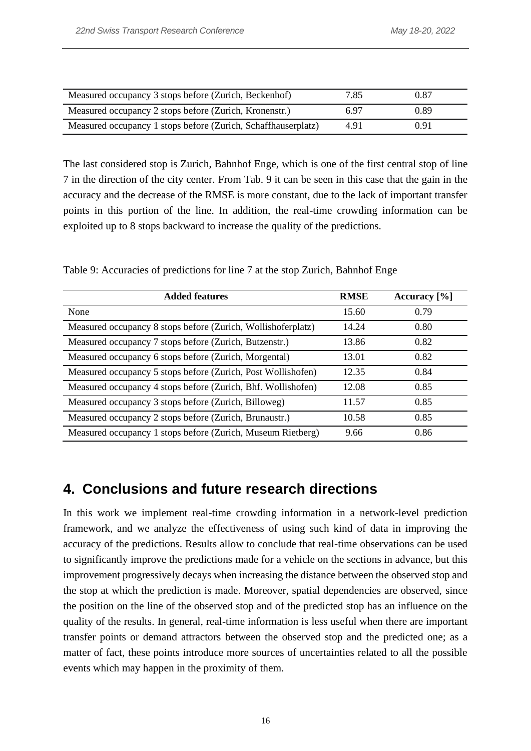| Measured occupancy 3 stops before (Zurich, Beckenhof)         | 7.85 | 0.87 |
|---------------------------------------------------------------|------|------|
| Measured occupancy 2 stops before (Zurich, Kronenstr.)        | 6.97 | 0.89 |
| Measured occupancy 1 stops before (Zurich, Schaffhauserplatz) | 4.91 | 0.91 |

The last considered stop is Zurich, Bahnhof Enge, which is one of the first central stop of line 7 in the direction of the city center. From Tab. 9 it can be seen in this case that the gain in the accuracy and the decrease of the RMSE is more constant, due to the lack of important transfer points in this portion of the line. In addition, the real-time crowding information can be exploited up to 8 stops backward to increase the quality of the predictions.

| Table 9: Accuracies of predictions for line 7 at the stop Zurich, Bahnhof Enge |  |  |  |
|--------------------------------------------------------------------------------|--|--|--|
|                                                                                |  |  |  |

| <b>Added features</b>                                        | <b>RMSE</b> | Accuracy [%] |
|--------------------------------------------------------------|-------------|--------------|
| None                                                         | 15.60       | 0.79         |
| Measured occupancy 8 stops before (Zurich, Wollishoferplatz) | 14.24       | 0.80         |
| Measured occupancy 7 stops before (Zurich, Butzenstr.)       | 13.86       | 0.82         |
| Measured occupancy 6 stops before (Zurich, Morgental)        | 13.01       | 0.82         |
| Measured occupancy 5 stops before (Zurich, Post Wollishofen) | 12.35       | 0.84         |
| Measured occupancy 4 stops before (Zurich, Bhf. Wollishofen) | 12.08       | 0.85         |
| Measured occupancy 3 stops before (Zurich, Billoweg)         | 11.57       | 0.85         |
| Measured occupancy 2 stops before (Zurich, Brunaustr.)       | 10.58       | 0.85         |
| Measured occupancy 1 stops before (Zurich, Museum Rietberg)  | 9.66        | 0.86         |

## **4. Conclusions and future research directions**

In this work we implement real-time crowding information in a network-level prediction framework, and we analyze the effectiveness of using such kind of data in improving the accuracy of the predictions. Results allow to conclude that real-time observations can be used to significantly improve the predictions made for a vehicle on the sections in advance, but this improvement progressively decays when increasing the distance between the observed stop and the stop at which the prediction is made. Moreover, spatial dependencies are observed, since the position on the line of the observed stop and of the predicted stop has an influence on the quality of the results. In general, real-time information is less useful when there are important transfer points or demand attractors between the observed stop and the predicted one; as a matter of fact, these points introduce more sources of uncertainties related to all the possible events which may happen in the proximity of them.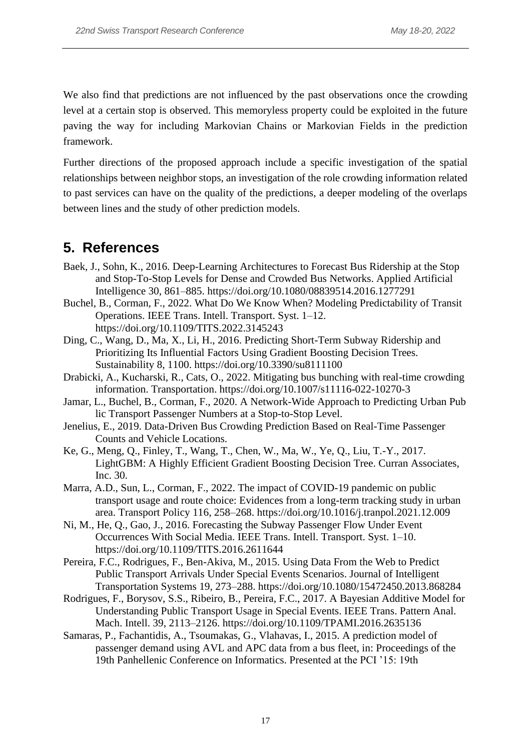We also find that predictions are not influenced by the past observations once the crowding level at a certain stop is observed. This memoryless property could be exploited in the future paving the way for including Markovian Chains or Markovian Fields in the prediction framework.

Further directions of the proposed approach include a specific investigation of the spatial relationships between neighbor stops, an investigation of the role crowding information related to past services can have on the quality of the predictions, a deeper modeling of the overlaps between lines and the study of other prediction models.

# **5. References**

- Baek, J., Sohn, K., 2016. Deep-Learning Architectures to Forecast Bus Ridership at the Stop and Stop-To-Stop Levels for Dense and Crowded Bus Networks. Applied Artificial Intelligence 30, 861–885. https://doi.org/10.1080/08839514.2016.1277291
- Buchel, B., Corman, F., 2022. What Do We Know When? Modeling Predictability of Transit Operations. IEEE Trans. Intell. Transport. Syst. 1–12. https://doi.org/10.1109/TITS.2022.3145243
- Ding, C., Wang, D., Ma, X., Li, H., 2016. Predicting Short-Term Subway Ridership and Prioritizing Its Influential Factors Using Gradient Boosting Decision Trees. Sustainability 8, 1100. https://doi.org/10.3390/su8111100
- Drabicki, A., Kucharski, R., Cats, O., 2022. Mitigating bus bunching with real-time crowding information. Transportation. https://doi.org/10.1007/s11116-022-10270-3
- Jamar, L., Buchel, B., Corman, F., 2020. A Network-Wide Approach to Predicting Urban Pub lic Transport Passenger Numbers at a Stop-to-Stop Level.
- Jenelius, E., 2019. Data-Driven Bus Crowding Prediction Based on Real-Time Passenger Counts and Vehicle Locations.
- Ke, G., Meng, Q., Finley, T., Wang, T., Chen, W., Ma, W., Ye, Q., Liu, T.-Y., 2017. LightGBM: A Highly Efficient Gradient Boosting Decision Tree. Curran Associates, Inc. 30.
- Marra, A.D., Sun, L., Corman, F., 2022. The impact of COVID-19 pandemic on public transport usage and route choice: Evidences from a long-term tracking study in urban area. Transport Policy 116, 258–268. https://doi.org/10.1016/j.tranpol.2021.12.009
- Ni, M., He, Q., Gao, J., 2016. Forecasting the Subway Passenger Flow Under Event Occurrences With Social Media. IEEE Trans. Intell. Transport. Syst. 1–10. https://doi.org/10.1109/TITS.2016.2611644
- Pereira, F.C., Rodrigues, F., Ben-Akiva, M., 2015. Using Data From the Web to Predict Public Transport Arrivals Under Special Events Scenarios. Journal of Intelligent Transportation Systems 19, 273–288. https://doi.org/10.1080/15472450.2013.868284
- Rodrigues, F., Borysov, S.S., Ribeiro, B., Pereira, F.C., 2017. A Bayesian Additive Model for Understanding Public Transport Usage in Special Events. IEEE Trans. Pattern Anal. Mach. Intell. 39, 2113–2126. https://doi.org/10.1109/TPAMI.2016.2635136
- Samaras, P., Fachantidis, A., Tsoumakas, G., Vlahavas, I., 2015. A prediction model of passenger demand using AVL and APC data from a bus fleet, in: Proceedings of the 19th Panhellenic Conference on Informatics. Presented at the PCI '15: 19th